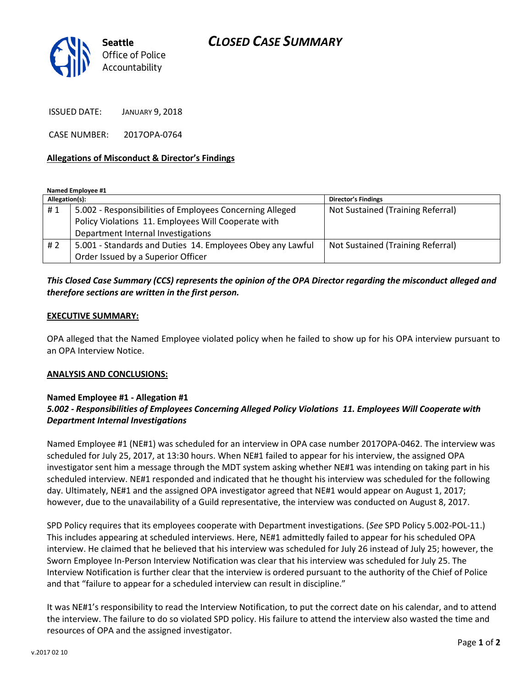

ISSUED DATE: JANUARY 9, 2018

CASE NUMBER: 2017OPA-0764

### **Allegations of Misconduct & Director's Findings**

**Named Employee #1**

| Allegation(s): |                                                            | <b>Director's Findings</b>        |
|----------------|------------------------------------------------------------|-----------------------------------|
| #1             | 5.002 - Responsibilities of Employees Concerning Alleged   | Not Sustained (Training Referral) |
|                | Policy Violations 11. Employees Will Cooperate with        |                                   |
|                | Department Internal Investigations                         |                                   |
| # 2            | 5.001 - Standards and Duties 14. Employees Obey any Lawful | Not Sustained (Training Referral) |
|                | Order Issued by a Superior Officer                         |                                   |

## *This Closed Case Summary (CCS) represents the opinion of the OPA Director regarding the misconduct alleged and therefore sections are written in the first person.*

### **EXECUTIVE SUMMARY:**

OPA alleged that the Named Employee violated policy when he failed to show up for his OPA interview pursuant to an OPA Interview Notice.

#### **ANALYSIS AND CONCLUSIONS:**

## **Named Employee #1 - Allegation #1** *5.002 - Responsibilities of Employees Concerning Alleged Policy Violations 11. Employees Will Cooperate with Department Internal Investigations*

Named Employee #1 (NE#1) was scheduled for an interview in OPA case number 2017OPA-0462. The interview was scheduled for July 25, 2017, at 13:30 hours. When NE#1 failed to appear for his interview, the assigned OPA investigator sent him a message through the MDT system asking whether NE#1 was intending on taking part in his scheduled interview. NE#1 responded and indicated that he thought his interview was scheduled for the following day. Ultimately, NE#1 and the assigned OPA investigator agreed that NE#1 would appear on August 1, 2017; however, due to the unavailability of a Guild representative, the interview was conducted on August 8, 2017.

SPD Policy requires that its employees cooperate with Department investigations. (*See* SPD Policy 5.002-POL-11.) This includes appearing at scheduled interviews. Here, NE#1 admittedly failed to appear for his scheduled OPA interview. He claimed that he believed that his interview was scheduled for July 26 instead of July 25; however, the Sworn Employee In-Person Interview Notification was clear that his interview was scheduled for July 25. The Interview Notification is further clear that the interview is ordered pursuant to the authority of the Chief of Police and that "failure to appear for a scheduled interview can result in discipline."

It was NE#1's responsibility to read the Interview Notification, to put the correct date on his calendar, and to attend the interview. The failure to do so violated SPD policy. His failure to attend the interview also wasted the time and resources of OPA and the assigned investigator.